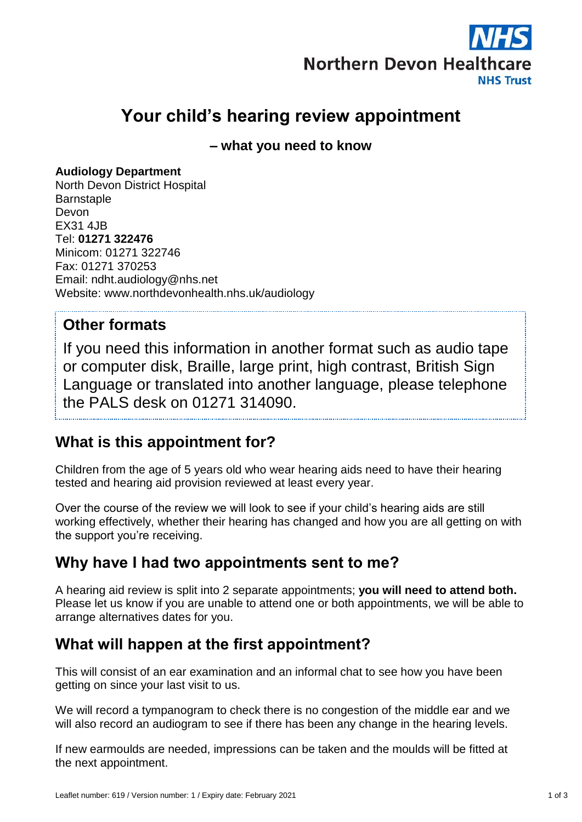

# **Your child's hearing review appointment**

**– what you need to know**

#### **Audiology Department**

North Devon District Hospital **Barnstaple** Devon EX31 4JB Tel: **01271 322476** Minicom: 01271 322746 Fax: 01271 370253 Email: ndht.audiology@nhs.net Website: www.northdevonhealth.nhs.uk/audiology

#### **Other formats**

If you need this information in another format such as audio tape or computer disk, Braille, large print, high contrast, British Sign Language or translated into another language, please telephone the PALS desk on 01271 314090.

## **What is this appointment for?**

Children from the age of 5 years old who wear hearing aids need to have their hearing tested and hearing aid provision reviewed at least every year.

Over the course of the review we will look to see if your child's hearing aids are still working effectively, whether their hearing has changed and how you are all getting on with the support you're receiving.

## **Why have I had two appointments sent to me?**

A hearing aid review is split into 2 separate appointments; **you will need to attend both.** Please let us know if you are unable to attend one or both appointments, we will be able to arrange alternatives dates for you.

## **What will happen at the first appointment?**

This will consist of an ear examination and an informal chat to see how you have been getting on since your last visit to us.

We will record a tympanogram to check there is no congestion of the middle ear and we will also record an audiogram to see if there has been any change in the hearing levels.

If new earmoulds are needed, impressions can be taken and the moulds will be fitted at the next appointment.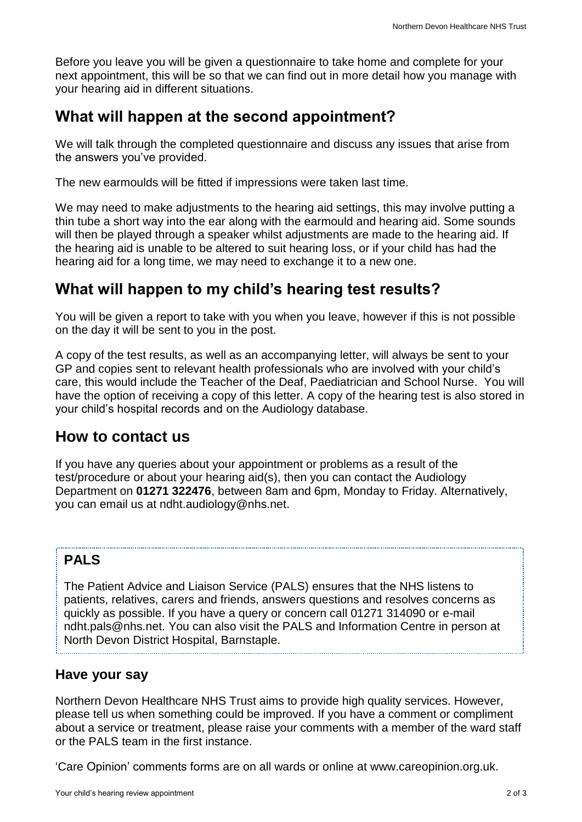Before you leave you will be given a questionnaire to take home and complete for your next appointment, this will be so that we can find out in more detail how you manage with your hearing aid in different situations.

## **What will happen at the second appointment?**

We will talk through the completed questionnaire and discuss any issues that arise from the answers you've provided.

The new earmoulds will be fitted if impressions were taken last time.

We may need to make adjustments to the hearing aid settings, this may involve putting a thin tube a short way into the ear along with the earmould and hearing aid. Some sounds will then be played through a speaker whilst adjustments are made to the hearing aid. If the hearing aid is unable to be altered to suit hearing loss, or if your child has had the hearing aid for a long time, we may need to exchange it to a new one.

### **What will happen to my child's hearing test results?**

You will be given a report to take with you when you leave, however if this is not possible on the day it will be sent to you in the post.

A copy of the test results, as well as an accompanying letter, will always be sent to your GP and copies sent to relevant health professionals who are involved with your child's care, this would include the Teacher of the Deaf, Paediatrician and School Nurse. You will have the option of receiving a copy of this letter. A copy of the hearing test is also stored in your child's hospital records and on the Audiology database.

#### **How to contact us**

If you have any queries about your appointment or problems as a result of the test/procedure or about your hearing aid(s), then you can contact the Audiology Department on **01271 322476**, between 8am and 6pm, Monday to Friday. Alternatively, you can email us at [ndht.audiology@nhs.net.](mailto:ndht.audiology@nhs.net)

#### **PALS**

The Patient Advice and Liaison Service (PALS) ensures that the NHS listens to patients, relatives, carers and friends, answers questions and resolves concerns as quickly as possible. If you have a query or concern call 01271 314090 or e-mail ndht.pals@nhs.net. You can also visit the PALS and Information Centre in person at North Devon District Hospital, Barnstaple.

#### **Have your say**

Northern Devon Healthcare NHS Trust aims to provide high quality services. However, please tell us when something could be improved. If you have a comment or compliment about a service or treatment, please raise your comments with a member of the ward staff or the PALS team in the first instance.

'Care Opinion' comments forms are on all wards or online at www.careopinion.org.uk.